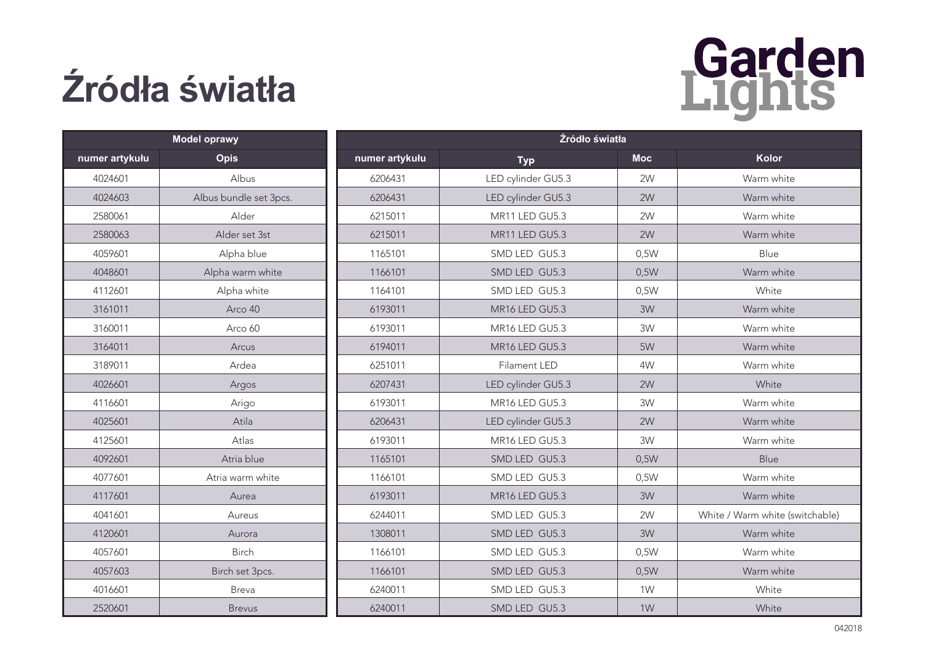## **Źródła światła**



| <b>Model oprawy</b> |                        | Źródło światła |                    |            |                                 |
|---------------------|------------------------|----------------|--------------------|------------|---------------------------------|
| numer artykułu      | <b>Opis</b>            | numer artykułu | <b>Typ</b>         | <b>Moc</b> | <b>Kolor</b>                    |
| 4024601             | Albus                  | 6206431        | LED cylinder GU5.3 | 2W         | Warm white                      |
| 4024603             | Albus bundle set 3pcs. | 6206431        | LED cylinder GU5.3 | 2W         | Warm white                      |
| 2580061             | Alder                  | 6215011        | MR11 LED GU5.3     | 2W         | Warm white                      |
| 2580063             | Alder set 3st          | 6215011        | MR11 LED GU5.3     | 2W         | Warm white                      |
| 4059601             | Alpha blue             | 1165101        | SMD LED GU5.3      | 0,5W       | Blue                            |
| 4048601             | Alpha warm white       | 1166101        | SMD LED GU5.3      | 0,5W       | Warm white                      |
| 4112601             | Alpha white            | 1164101        | SMD LED GU5.3      | 0,5W       | White                           |
| 3161011             | Arco 40                | 6193011        | MR16 LED GU5.3     | 3W         | Warm white                      |
| 3160011             | Arco 60                | 6193011        | MR16 LED GU5.3     | 3W         | Warm white                      |
| 3164011             | Arcus                  | 6194011        | MR16 LED GU5.3     | 5W         | Warm white                      |
| 3189011             | Ardea                  | 6251011        | Filament LED       | 4W         | Warm white                      |
| 4026601             | Argos                  | 6207431        | LED cylinder GU5.3 | 2W         | White                           |
| 4116601             | Arigo                  | 6193011        | MR16 LED GU5.3     | 3W         | Warm white                      |
| 4025601             | Atila                  | 6206431        | LED cylinder GU5.3 | 2W         | Warm white                      |
| 4125601             | Atlas                  | 6193011        | MR16 LED GU5.3     | 3W         | Warm white                      |
| 4092601             | Atria blue             | 1165101        | SMD LED GU5.3      | 0,5W       | <b>Blue</b>                     |
| 4077601             | Atria warm white       | 1166101        | SMD LED GU5.3      | 0,5W       | Warm white                      |
| 4117601             | Aurea                  | 6193011        | MR16 LED GU5.3     | 3W         | Warm white                      |
| 4041601             | Aureus                 | 6244011        | SMD LED GU5.3      | 2W         | White / Warm white (switchable) |
| 4120601             | Aurora                 | 1308011        | SMD LED GU5.3      | 3W         | Warm white                      |
| 4057601             | Birch                  | 1166101        | SMD LED GU5.3      | 0,5W       | Warm white                      |
| 4057603             | Birch set 3pcs.        | 1166101        | SMD LED GU5.3      | 0,5W       | Warm white                      |
| 4016601             | Breva                  | 6240011        | SMD LED GU5.3      | 1W         | White                           |
| 2520601             | <b>Brevus</b>          | 6240011        | SMD LED GU5.3      | 1W         | White                           |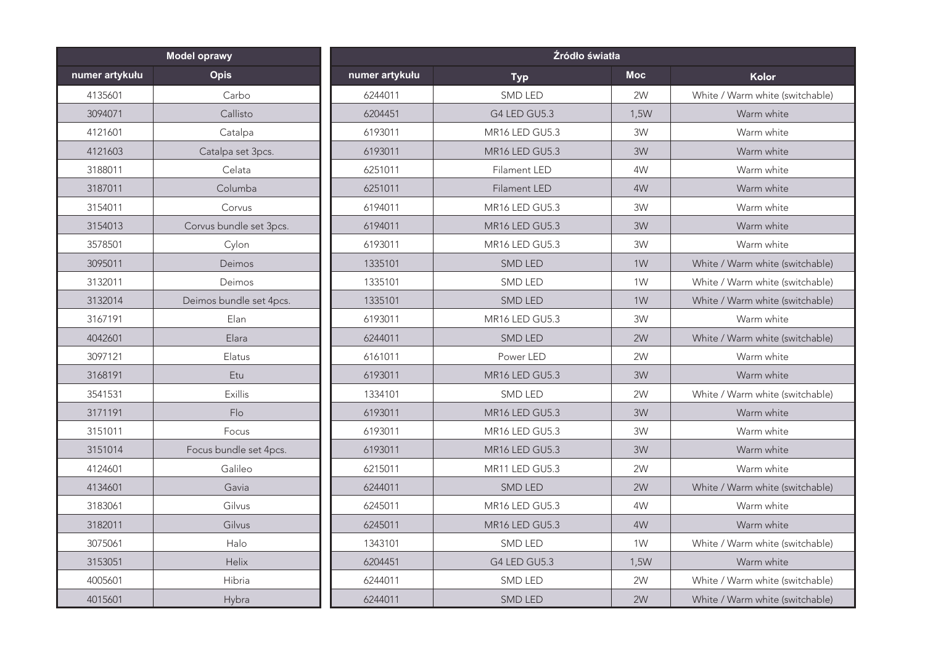| <b>Model oprawy</b> |                         | Źródło światła |                                        |            |                                 |
|---------------------|-------------------------|----------------|----------------------------------------|------------|---------------------------------|
| numer artykułu      | <b>Opis</b>             | numer artykułu | <b>Typ</b>                             | <b>Moc</b> | Kolor                           |
| 4135601             | Carbo                   | 6244011        | SMD LED                                | 2W         | White / Warm white (switchable) |
| 3094071             | Callisto                | 6204451        | G4 LED GU5.3                           | 1,5W       | Warm white                      |
| 4121601             | Catalpa                 | 6193011        | MR16 LED GU5.3                         | 3W         | Warm white                      |
| 4121603             | Catalpa set 3pcs.       | 6193011        | MR <sub>16</sub> LED GU <sub>5.3</sub> | 3W         | Warm white                      |
| 3188011             | Celata                  | 6251011        | <b>Filament LED</b>                    | 4W         | Warm white                      |
| 3187011             | Columba                 | 6251011        | Filament LED                           | 4W         | Warm white                      |
| 3154011             | Corvus                  | 6194011        | MR16 LED GU5.3                         | 3W         | Warm white                      |
| 3154013             | Corvus bundle set 3pcs. | 6194011        | MR16 LED GU5.3                         | 3W         | Warm white                      |
| 3578501             | Cylon                   | 6193011        | MR16 LED GU5.3                         | 3W         | Warm white                      |
| 3095011             | Deimos                  | 1335101        | SMD LED                                | 1W         | White / Warm white (switchable) |
| 3132011             | Deimos                  | 1335101        | <b>SMD LED</b>                         | 1W         | White / Warm white (switchable) |
| 3132014             | Deimos bundle set 4pcs. | 1335101        | <b>SMD LED</b>                         | 1W         | White / Warm white (switchable) |
| 3167191             | Elan                    | 6193011        | MR16 LED GU5.3                         | 3W         | Warm white                      |
| 4042601             | Elara                   | 6244011        | <b>SMD LED</b>                         | 2W         | White / Warm white (switchable) |
| 3097121             | Elatus                  | 6161011        | Power LED                              | 2W         | Warm white                      |
| 3168191             | Etu                     | 6193011        | MR16 LED GU5.3                         | 3W         | Warm white                      |
| 3541531             | Exillis                 | 1334101        | SMD LED                                | 2W         | White / Warm white (switchable) |
| 3171191             | Flo                     | 6193011        | <b>MR16 LED GU5.3</b>                  | 3W         | Warm white                      |
| 3151011             | Focus                   | 6193011        | <b>MR16 LED GU5.3</b>                  | 3W         | Warm white                      |
| 3151014             | Focus bundle set 4pcs.  | 6193011        | MR16 LED GU5.3                         | 3W         | Warm white                      |
| 4124601             | Galileo                 | 6215011        | MR11 LED GU5.3                         | 2W         | Warm white                      |
| 4134601             | Gavia                   | 6244011        | <b>SMD LED</b>                         | 2W         | White / Warm white (switchable) |
| 3183061             | Gilvus                  | 6245011        | MR16 LED GU5.3                         | 4W         | Warm white                      |
| 3182011             | Gilvus                  | 6245011        | MR16 LED GU5.3                         | 4W         | Warm white                      |
| 3075061             | Halo                    | 1343101        | <b>SMD LED</b>                         | 1W         | White / Warm white (switchable) |
| 3153051             | Helix                   | 6204451        | G4 LED GU5.3                           | 1,5W       | Warm white                      |
| 4005601             | Hibria                  | 6244011        | SMD LED                                | 2W         | White / Warm white (switchable) |
| 4015601             | Hybra                   | 6244011        | <b>SMD LED</b>                         | 2W         | White / Warm white (switchable) |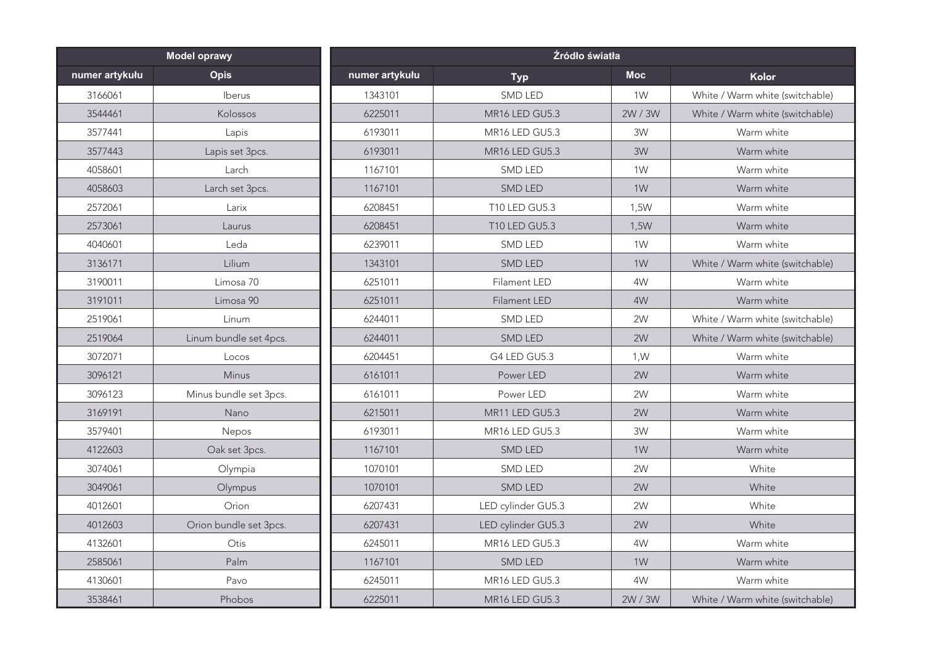| <b>Model oprawy</b> |                        | Źródło światła |                                        |                |                                 |
|---------------------|------------------------|----------------|----------------------------------------|----------------|---------------------------------|
| numer artykułu      | <b>Opis</b>            | numer artykułu | <b>Typ</b>                             | <b>Moc</b>     | Kolor                           |
| 3166061             | Iberus                 | 1343101        | SMD LED                                | 1W             | White / Warm white (switchable) |
| 3544461             | Kolossos               | 6225011        | MR16 LED GU5.3                         | 2W / 3W        | White / Warm white (switchable) |
| 3577441             | Lapis                  | 6193011        | MR16 LED GU5.3                         | 3W             | Warm white                      |
| 3577443             | Lapis set 3pcs.        | 6193011        | MR <sub>16</sub> LED GU <sub>5.3</sub> | 3W             | Warm white                      |
| 4058601             | Larch                  | 1167101        | <b>SMD LED</b>                         | 1W             | Warm white                      |
| 4058603             | Larch set 3pcs.        | 1167101        | SMD LED                                | 1W             | Warm white                      |
| 2572061             | Larix                  | 6208451        | T10 LED GU5.3                          | 1,5W           | Warm white                      |
| 2573061             | Laurus                 | 6208451        | <b>T10 LED GU5.3</b>                   | 1,5W           | Warm white                      |
| 4040601             | Leda                   | 6239011        | SMD LED                                | 1W             | Warm white                      |
| 3136171             | Lilium                 | 1343101        | SMD LED                                | 1W             | White / Warm white (switchable) |
| 3190011             | Limosa 70              | 6251011        | Filament LED                           | 4W             | Warm white                      |
| 3191011             | Limosa 90              | 6251011        | Filament LED                           | 4W             | Warm white                      |
| 2519061             | Linum                  | 6244011        | SMD LED                                | 2W             | White / Warm white (switchable) |
| 2519064             | Linum bundle set 4pcs. | 6244011        | SMD LED                                | 2W             | White / Warm white (switchable) |
| 3072071             | Locos                  | 6204451        | G4 LED GU5.3                           | 1, W           | Warm white                      |
| 3096121             | Minus                  | 6161011        | Power LED                              | 2W             | Warm white                      |
| 3096123             | Minus bundle set 3pcs. | 6161011        | Power LED                              | 2W             | Warm white                      |
| 3169191             | Nano                   | 6215011        | MR11 LED GU5.3                         | 2W             | Warm white                      |
| 3579401             | Nepos                  | 6193011        | MR16 LED GU5.3                         | 3W             | Warm white                      |
| 4122603             | Oak set 3pcs.          | 1167101        | SMD LED                                | 1 <sub>W</sub> | Warm white                      |
| 3074061             | Olympia                | 1070101        | <b>SMD LED</b>                         | 2W             | White                           |
| 3049061             | Olympus                | 1070101        | <b>SMD LED</b>                         | 2W             | White                           |
| 4012601             | Orion                  | 6207431        | LED cylinder GU5.3                     | 2W             | White                           |
| 4012603             | Orion bundle set 3pcs. | 6207431        | LED cylinder GU5.3                     | 2W             | White                           |
| 4132601             | Otis                   | 6245011        | MR16 LED GU5.3                         | 4W             | Warm white                      |
| 2585061             | Palm                   | 1167101        | <b>SMD LED</b>                         | 1W             | Warm white                      |
| 4130601             | Pavo                   | 6245011        | MR16 LED GU5.3                         | 4W             | Warm white                      |
| 3538461             | Phobos                 | 6225011        | MR16 LED GU5.3                         | 2W / 3W        | White / Warm white (switchable) |